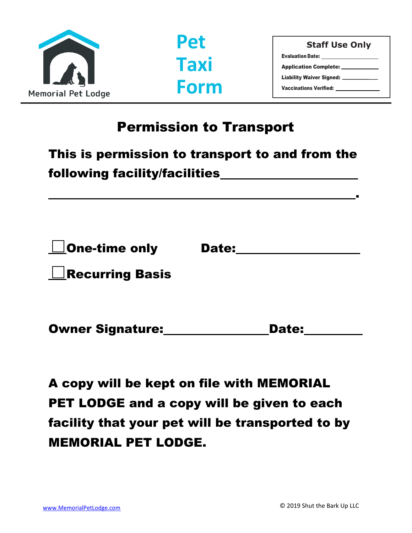



**Staff Use Only** Evaluation Date: Application Complete: Liability Waiver Signed: Vaccinations Verified:

.

## Permission to Transport

| This is permission to transport to and from the |  |
|-------------------------------------------------|--|
| following facility/facilities                   |  |

| $\Box$ One-time only   | <b>Date:</b> |  |
|------------------------|--------------|--|
| $\Box$ Recurring Basis |              |  |
|                        |              |  |

| <b>Owner Signature:</b> | <b>Date:</b> |
|-------------------------|--------------|
|-------------------------|--------------|

A copy will be kept on file with MEMORIAL PET LODGE and a copy will be given to each facility that your pet will be transported to by MEMORIAL PET LODGE.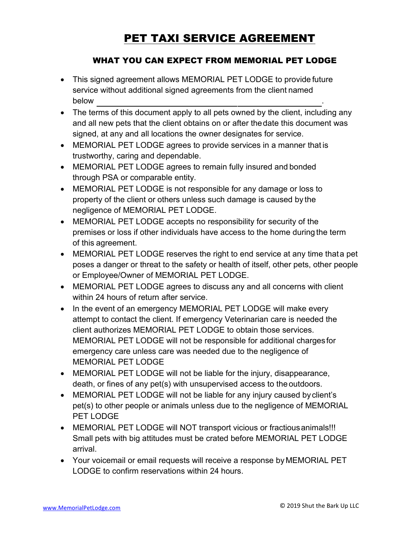### PET TAXI SERVICE AGREEMENT

#### WHAT YOU CAN EXPECT FROM MEMORIAL PET LODGE

- This signed agreement allows MEMORIAL PET LODGE to provide future service without additional signed agreements from the client named below .
- The terms of this document apply to all pets owned by the client, including any and all new pets that the client obtains on or after thedate this document was signed, at any and all locations the owner designates for service.
- MEMORIAL PET LODGE agrees to provide services in a manner that is trustworthy, caring and dependable.
- MEMORIAL PET LODGE agrees to remain fully insured and bonded through PSA or comparable entity.
- MEMORIAL PET LODGE is not responsible for any damage or loss to property of the client or others unless such damage is caused by the negligence of MEMORIAL PET LODGE.
- MEMORIAL PET LODGE accepts no responsibility for security of the premises or loss if other individuals have access to the home during the term of this agreement.
- MEMORIAL PET LODGE reserves the right to end service at any time thata pet poses a danger or threat to the safety or health of itself, other pets, other people or Employee/Owner of MEMORIAL PET LODGE.
- MEMORIAL PET LODGE agrees to discuss any and all concerns with client within 24 hours of return after service.
- In the event of an emergency MEMORIAL PET LODGE will make every attempt to contact the client. If emergency Veterinarian care is needed the client authorizes MEMORIAL PET LODGE to obtain those services. MEMORIAL PET LODGE will not be responsible for additional charges for emergency care unless care was needed due to the negligence of MEMORIAL PET LODGE
- MEMORIAL PET LODGE will not be liable for the injury, disappearance, death, or fines of any pet(s) with unsupervised access to the outdoors.
- MEMORIAL PET LODGE will not be liable for any injury caused by client's pet(s) to other people or animals unless due to the negligence of MEMORIAL PET LODGE
- MEMORIAL PET LODGE will NOT transport vicious or fractious animals!!! Small pets with big attitudes must be crated before MEMORIAL PET LODGE arrival.
- Your voicemail or email requests will receive a response by MEMORIAL PET LODGE to confirm reservations within 24 hours.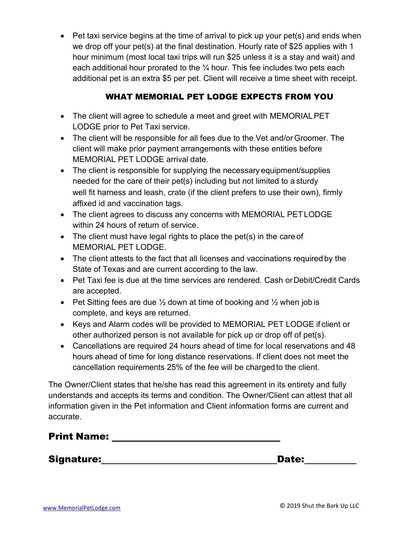• Pet taxi service begins at the time of arrival to pick up your pet(s) and ends when we drop off your pet(s) at the final destination. Hourly rate of \$25 applies with 1 hour minimum (most local taxi trips will run \$25 unless it is a stay and wait) and each additional hour prorated to the  $\frac{1}{4}$  hour. This fee includes two pets each additional pet is an extra \$5 per pet. Client will receive a time sheet with receipt.

#### WHAT MEMORIAL PET LODGE EXPECTS FROM YOU

- The client will agree to schedule a meet and greet with MEMORIALPET LODGE prior to Pet Taxi service.
- The client will be responsible for all fees due to the Vet and/orGroomer. The client will make prior payment arrangements with these entities before MEMORIAL PET LODGE arrival date.
- The client is responsible for supplying the necessary equipment/supplies needed for the care of their pet(s) including but not limited to a sturdy well fit harness and leash, crate (if the client prefers to use their own), firmly affixed id and vaccination tags.
- The client agrees to discuss any concerns with MEMORIAL PETLODGE within 24 hours of return of service.
- The client must have legal rights to place the pet(s) in the care of MEMORIAL PET LODGE.
- The client attests to the fact that all licenses and vaccinations required by the State of Texas and are current according to the law.
- Pet Taxi fee is due at the time services are rendered. Cash or Debit/Credit Cards are accepted.
- Pet Sitting fees are due  $\frac{1}{2}$  down at time of booking and  $\frac{1}{2}$  when job is complete, and keys are returned.
- Keys and Alarm codes will be provided to MEMORIAL PET LODGE if client or other authorized person is not available for pick up or drop off of pet(s).
- Cancellations are required 24 hours ahead of time for local reservations and 48 hours ahead of time for long distance reservations. If client does not meet the cancellation requirements 25% of the fee will be chargedto the client.

The Owner/Client states that he/she has read this agreement in its entirety and fully understands and accepts its terms and condition. The Owner/Client can attest that all information given in the Pet information and Client information forms are current and accurate.

Signature: Date: Date: